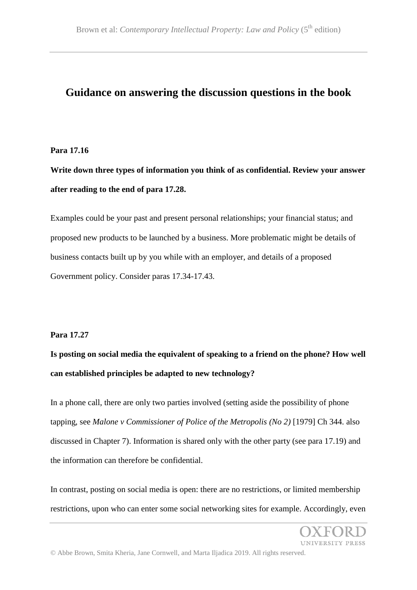## **Guidance on answering the discussion questions in the book**

### **Para 17.16**

**Write down three types of information you think of as confidential. Review your answer after reading to the end of para 17.28.**

Examples could be your past and present personal relationships; your financial status; and proposed new products to be launched by a business. More problematic might be details of business contacts built up by you while with an employer, and details of a proposed Government policy. Consider paras 17.34-17.43.

### **Para 17.27**

**Is posting on social media the equivalent of speaking to a friend on the phone? How well can established principles be adapted to new technology?**

In a phone call, there are only two parties involved (setting aside the possibility of phone tapping, see *Malone v Commissioner of Police of the Metropolis (No 2)* [1979] Ch 344. also discussed in Chapter 7). Information is shared only with the other party (see para 17.19) and the information can therefore be confidential.

In contrast, posting on social media is open: there are no restrictions, or limited membership restrictions, upon who can enter some social networking sites for example. Accordingly, even

INIVERSITY PRESS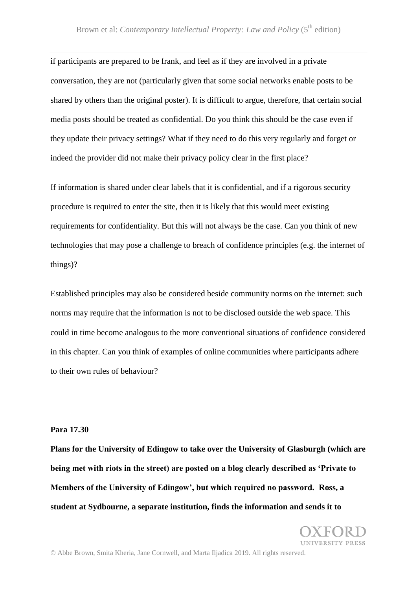if participants are prepared to be frank, and feel as if they are involved in a private conversation, they are not (particularly given that some social networks enable posts to be shared by others than the original poster). It is difficult to argue, therefore, that certain social media posts should be treated as confidential. Do you think this should be the case even if they update their privacy settings? What if they need to do this very regularly and forget or indeed the provider did not make their privacy policy clear in the first place?

If information is shared under clear labels that it is confidential, and if a rigorous security procedure is required to enter the site, then it is likely that this would meet existing requirements for confidentiality. But this will not always be the case. Can you think of new technologies that may pose a challenge to breach of confidence principles (e.g. the internet of things)?

Established principles may also be considered beside community norms on the internet: such norms may require that the information is not to be disclosed outside the web space. This could in time become analogous to the more conventional situations of confidence considered in this chapter. Can you think of examples of online communities where participants adhere to their own rules of behaviour?

#### **Para 17.30**

**Plans for the University of Edingow to take over the University of Glasburgh (which are being met with riots in the street) are posted on a blog clearly described as 'Private to Members of the University of Edingow', but which required no password. Ross, a student at Sydbourne, a separate institution, finds the information and sends it to** 

**IVERSITY PRESS**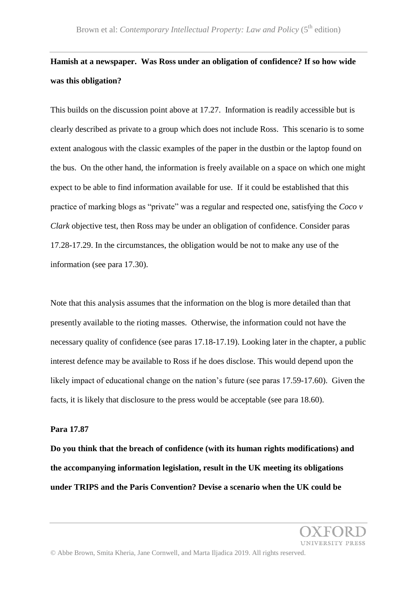# **Hamish at a newspaper. Was Ross under an obligation of confidence? If so how wide was this obligation?**

This builds on the discussion point above at 17.27. Information is readily accessible but is clearly described as private to a group which does not include Ross. This scenario is to some extent analogous with the classic examples of the paper in the dustbin or the laptop found on the bus. On the other hand, the information is freely available on a space on which one might expect to be able to find information available for use. If it could be established that this practice of marking blogs as "private" was a regular and respected one, satisfying the *Coco v Clark* objective test, then Ross may be under an obligation of confidence. Consider paras 17.28-17.29. In the circumstances, the obligation would be not to make any use of the information (see para 17.30).

Note that this analysis assumes that the information on the blog is more detailed than that presently available to the rioting masses. Otherwise, the information could not have the necessary quality of confidence (see paras 17.18-17.19). Looking later in the chapter, a public interest defence may be available to Ross if he does disclose. This would depend upon the likely impact of educational change on the nation's future (see paras 17.59-17.60). Given the facts, it is likely that disclosure to the press would be acceptable (see para 18.60).

#### **Para 17.87**

**Do you think that the breach of confidence (with its human rights modifications) and the accompanying information legislation, result in the UK meeting its obligations under TRIPS and the Paris Convention? Devise a scenario when the UK could be** 

**VERSITY PRESS**